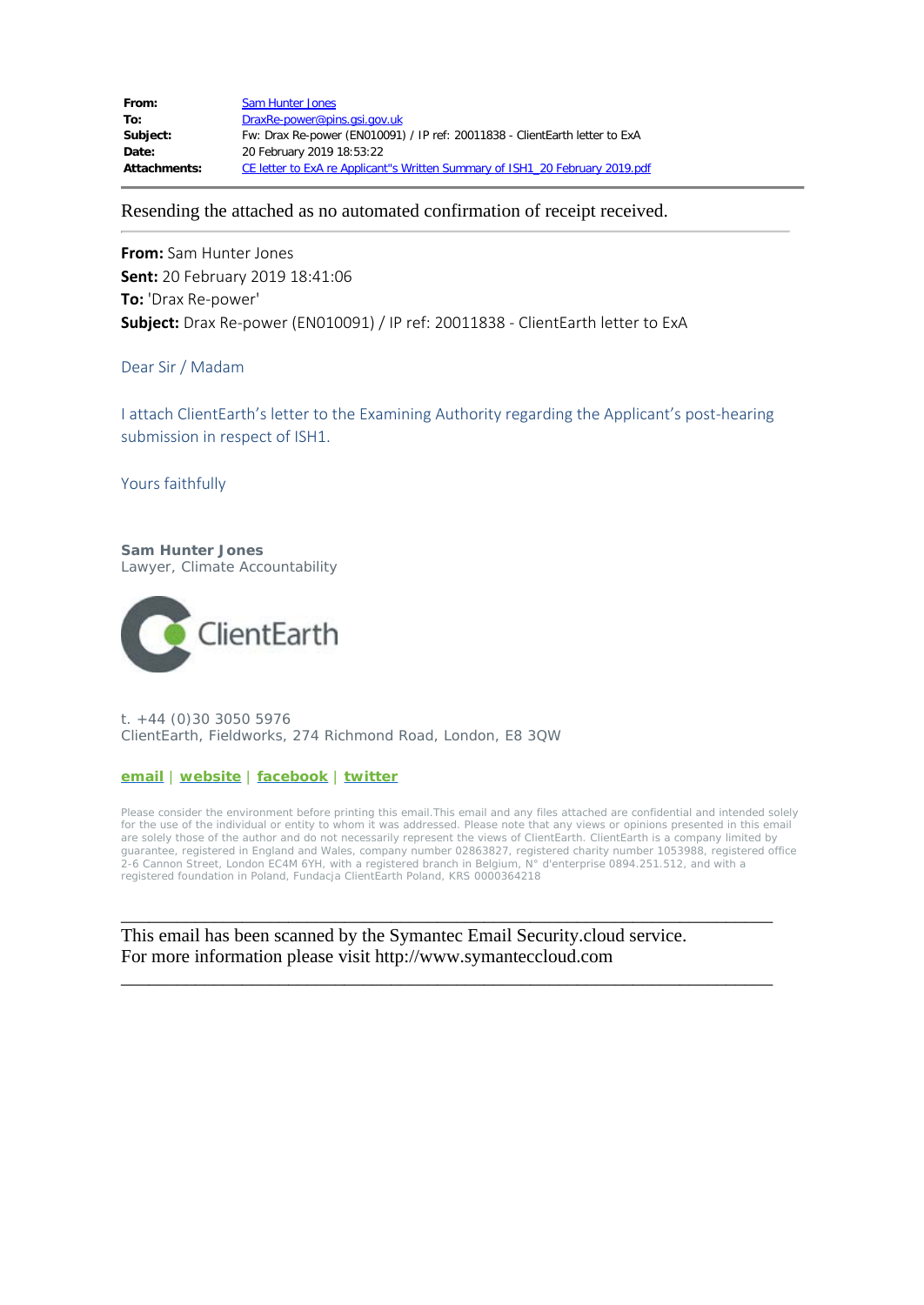| From:               | <b>Sam Hunter Jones</b>                                                      |
|---------------------|------------------------------------------------------------------------------|
| To:                 | DraxRe-power@pins.gsi.gov.uk                                                 |
| Subject:            | Fw: Drax Re-power (EN010091) / IP ref: 20011838 - ClientEarth letter to ExA  |
| Date:               | 20 February 2019 18:53:22                                                    |
| <b>Attachments:</b> | CE letter to ExA re Applicant"s Written Summary of ISH1 20 February 2019.pdf |

Resending the attached as no automated confirmation of receipt received.

**From:** Sam Hunter Jones **Sent:** 20 February 2019 18:41:06 **To:** 'Drax Re-power' **Subject:** Drax Re-power (EN010091) / IP ref: 20011838 - ClientEarth letter to ExA

## Dear Sir / Madam

I attach ClientEarth's letter to the Examining Authority regarding the Applicant's post-hearing submission in respect of ISH1.

Yours faithfully

**Sam Hunter Jones** Lawyer, Climate Accountability



t. +44 (0)30 3050 5976 ClientEarth, Fieldworks, 274 Richmond Road, London, E8 3QW

**[email](mailto:shunterjones@clientearth.org)** | **[website](https://urldefense.proofpoint.com/v2/url?u=http-3A__www.clientearth.org_&d=DwMF-g&c=qQy84HidZKks1AzH1tNzCKFxsPy43_OhvfM1avj4FME&r=cl0AJkS7NIyt_8L2kOKeyyHNafUGGsjCJN91CVUFZwk&m=vZrkaebKi_cBsoRtpmxF0CvxM9fWocYBoK7j2IxrcNI&s=8Y7YCI2ELfosnHYyPBFtGVV5XEs61g_q1d9obbm18aY&e=)** | **[facebook](https://urldefense.proofpoint.com/v2/url?u=https-3A__www.facebook.com_ClientEarth&d=DwMF-g&c=qQy84HidZKks1AzH1tNzCKFxsPy43_OhvfM1avj4FME&r=cl0AJkS7NIyt_8L2kOKeyyHNafUGGsjCJN91CVUFZwk&m=vZrkaebKi_cBsoRtpmxF0CvxM9fWocYBoK7j2IxrcNI&s=jJbbjZaZH-AeCHXEws60jl-8aEnI2G8PR5c2qbZbSHE&e=)** | **[twitter](https://urldefense.proofpoint.com/v2/url?u=https-3A__twitter.com_ClientEarth&d=DwMF-g&c=qQy84HidZKks1AzH1tNzCKFxsPy43_OhvfM1avj4FME&r=cl0AJkS7NIyt_8L2kOKeyyHNafUGGsjCJN91CVUFZwk&m=vZrkaebKi_cBsoRtpmxF0CvxM9fWocYBoK7j2IxrcNI&s=dAWHFHEiK1rfeNyAsaR9eDoogvsXTMroNamiRPhO4SY&e=)**

Please consider the environment before printing this email.This email and any files attached are confidential and intended solely for the use of the individual or entity to whom it was addressed. Please note that any views or opinions presented in this email are solely those of the author and do not necessarily represent the views of ClientEarth. ClientEarth is a company limited by guarantee, registered in England and Wales, company number 02863827, registered charity number 1053988, registered office 2-6 Cannon Street, London EC4M 6YH, with a registered branch in Belgium, N° d'enterprise 0894.251.512, and with a registered foundation in Poland, Fundacja ClientEarth Poland, KRS 0000364218

\_\_\_\_\_\_\_\_\_\_\_\_\_\_\_\_\_\_\_\_\_\_\_\_\_\_\_\_\_\_\_\_\_\_\_\_\_\_\_\_\_\_\_\_\_\_\_\_\_\_\_\_\_\_\_\_\_\_\_\_\_\_\_\_\_\_\_\_\_\_

\_\_\_\_\_\_\_\_\_\_\_\_\_\_\_\_\_\_\_\_\_\_\_\_\_\_\_\_\_\_\_\_\_\_\_\_\_\_\_\_\_\_\_\_\_\_\_\_\_\_\_\_\_\_\_\_\_\_\_\_\_\_\_\_\_\_\_\_\_\_

This email has been scanned by the Symantec Email Security.cloud service. For more information please visit http://www.symanteccloud.com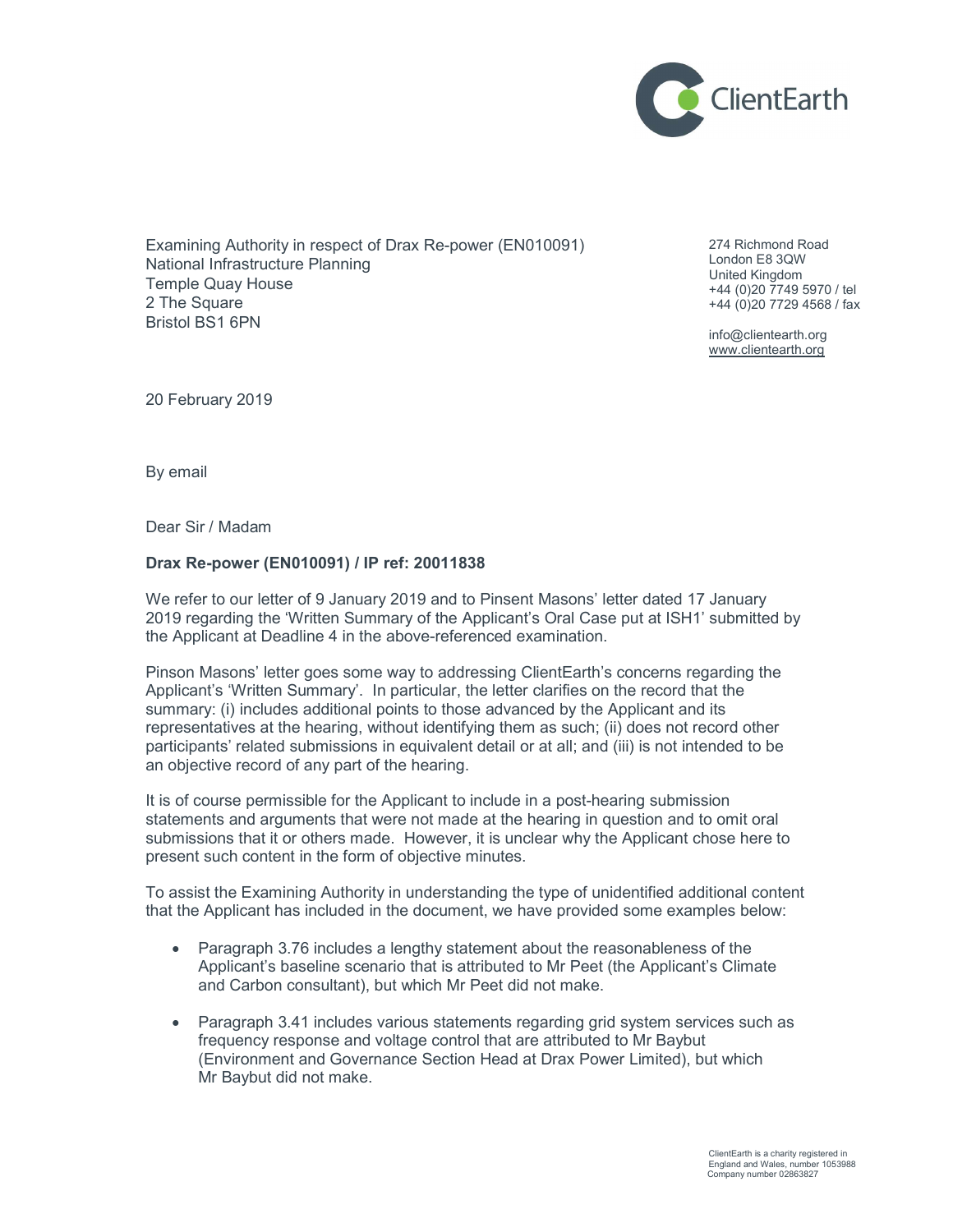

Examining Authority in respect of Drax Re-power (EN010091) National Infrastructure Planning Temple Quay House 2 The Square Bristol BS1 6PN

274 Richmond Road London E8 3QW United Kingdom +44 (0)20 7749 5970 / tel +44 (0)20 7729 4568 / fax

info@clientearth.org www.clientearth.org

20 February 2019

By email

Dear Sir / Madam

## Drax Re-power (EN010091) / IP ref: 20011838

We refer to our letter of 9 January 2019 and to Pinsent Masons' letter dated 17 January 2019 regarding the 'Written Summary of the Applicant's Oral Case put at ISH1' submitted by the Applicant at Deadline 4 in the above-referenced examination.

Pinson Masons' letter goes some way to addressing ClientEarth's concerns regarding the Applicant's 'Written Summary'. In particular, the letter clarifies on the record that the summary: (i) includes additional points to those advanced by the Applicant and its representatives at the hearing, without identifying them as such; (ii) does not record other participants' related submissions in equivalent detail or at all; and (iii) is not intended to be an objective record of any part of the hearing.

It is of course permissible for the Applicant to include in a post-hearing submission statements and arguments that were not made at the hearing in question and to omit oral submissions that it or others made. However, it is unclear why the Applicant chose here to present such content in the form of objective minutes.

To assist the Examining Authority in understanding the type of unidentified additional content that the Applicant has included in the document, we have provided some examples below:

- Paragraph 3.76 includes a lengthy statement about the reasonableness of the Applicant's baseline scenario that is attributed to Mr Peet (the Applicant's Climate and Carbon consultant), but which Mr Peet did not make.
- Paragraph 3.41 includes various statements regarding grid system services such as frequency response and voltage control that are attributed to Mr Baybut (Environment and Governance Section Head at Drax Power Limited), but which Mr Baybut did not make.